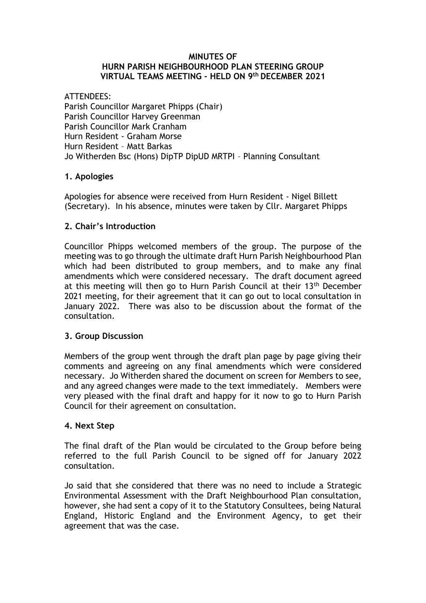#### **MINUTES OF HURN PARISH NEIGHBOURHOOD PLAN STEERING GROUP VIRTUAL TEAMS MEETING - HELD ON 9 th DECEMBER 2021**

ATTENDEES: Parish Councillor Margaret Phipps (Chair) Parish Councillor Harvey Greenman Parish Councillor Mark Cranham Hurn Resident - Graham Morse Hurn Resident – Matt Barkas Jo Witherden Bsc (Hons) DipTP DipUD MRTPI – Planning Consultant

# **1. Apologies**

Apologies for absence were received from Hurn Resident - Nigel Billett (Secretary). In his absence, minutes were taken by Cllr. Margaret Phipps

## **2. Chair's Introduction**

Councillor Phipps welcomed members of the group. The purpose of the meeting was to go through the ultimate draft Hurn Parish Neighbourhood Plan which had been distributed to group members, and to make any final amendments which were considered necessary. The draft document agreed at this meeting will then go to Hurn Parish Council at their 13<sup>th</sup> December 2021 meeting, for their agreement that it can go out to local consultation in January 2022. There was also to be discussion about the format of the consultation.

## **3. Group Discussion**

Members of the group went through the draft plan page by page giving their comments and agreeing on any final amendments which were considered necessary. Jo Witherden shared the document on screen for Members to see, and any agreed changes were made to the text immediately. Members were very pleased with the final draft and happy for it now to go to Hurn Parish Council for their agreement on consultation.

## **4. Next Step**

The final draft of the Plan would be circulated to the Group before being referred to the full Parish Council to be signed off for January 2022 consultation.

Jo said that she considered that there was no need to include a Strategic Environmental Assessment with the Draft Neighbourhood Plan consultation, however, she had sent a copy of it to the Statutory Consultees, being Natural England, Historic England and the Environment Agency, to get their agreement that was the case.